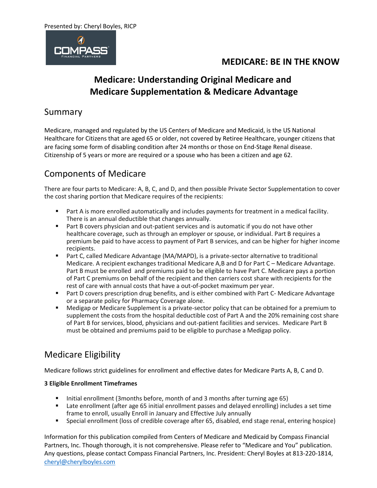

## **Medicare: Understanding Original Medicare and Medicare Supplementation & Medicare Advantage**

### Summary

Medicare, managed and regulated by the US Centers of Medicare and Medicaid, is the US National Healthcare for Citizens that are aged 65 or older, not covered by Retiree Healthcare, younger citizens that are facing some form of disabling condition after 24 months or those on End-Stage Renal disease. Citizenship of 5 years or more are required or a spouse who has been a citizen and age 62.

## Components of Medicare

There are four parts to Medicare: A, B, C, and D, and then possible Private Sector Supplementation to cover the cost sharing portion that Medicare requires of the recipients:

- Part A is more enrolled automatically and includes payments for treatment in a medical facility. There is an annual deductible that changes annually.
- Part B covers physician and out-patient services and is automatic if you do not have other healthcare coverage, such as through an employer or spouse, or individual. Part B requires a premium be paid to have access to payment of Part B services, and can be higher for higher income recipients.
- Part C, called Medicare Advantage (MA/MAPD), is a private-sector alternative to traditional Medicare. A recipient exchanges traditional Medicare A,B and D for Part C – Medicare Advantage. Part B must be enrolled and premiums paid to be eligible to have Part C. Medicare pays a portion of Part C premiums on behalf of the recipient and then carriers cost share with recipients for the rest of care with annual costs that have a out-of-pocket maximum per year.
- Part D covers prescription drug benefits, and is either combined with Part C-Medicare Advantage or a separate policy for Pharmacy Coverage alone.
- Medigap or Medicare Supplement is a private-sector policy that can be obtained for a premium to supplement the costs from the hospital deductible cost of Part A and the 20% remaining cost share of Part B for services, blood, physicians and out-patient facilities and services. Medicare Part B must be obtained and premiums paid to be eligible to purchase a Medigap policy.

## Medicare Eligibility

Medicare follows strict guidelines for enrollment and effective dates for Medicare Parts A, B, C and D.

#### **3 Eligible Enrollment Timeframes**

- Initial enrollment (3months before, month of and 3 months after turning age 65)
- Late enrollment (after age 65 initial enrollment passes and delayed enrolling) includes a set time frame to enroll, usually Enroll in January and Effective July annually
- Special enrollment (loss of credible coverage after 65, disabled, end stage renal, entering hospice)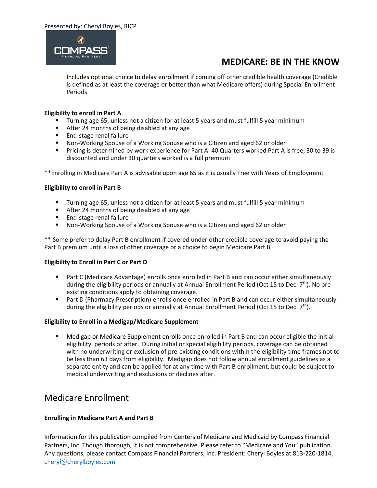

Includes optional choice to delay enrollment if coming off other credible health coverage (Credible is defined as at least the coverage or better than what Medicare offers) during Special Enrollment Periods

#### **Eligibility to enroll in Part A**

- Turning age 65, unless not a citizen for at least 5 years and must fulfill 5 year minimum
- After 24 months of being disabled at any age
- End-stage renal failure
- Non-Working Spouse of a Working Spouse who is a Citizen and aged 62 or older
- Pricing is determined by work experience for Part A: 40 Quarters worked Part A is free, 30 to 39 is discounted and under 30 quarters worked is a full premium

\*\*Enrolling in Medicare Part A is advisable upon age 65 as it is usually Free with Years of Employment

#### **Eligibility to enroll in Part B**

- Turning age 65, unless not a citizen for at least 5 years and must fulfill 5 year minimum
- After 24 months of being disabled at any age
- End-stage renal failure
- Non-Working Spouse of a Working Spouse who is a Citizen and aged 62 or older

\*\* Some prefer to delay Part B enrollment if covered under other credible coverage to avoid paying the Part B premium until a loss of other coverage or a choice to begin Medicare Part B

#### **Eligibility to Enroll in Part C or Part D**

- Part C (Medicare Advantage) enrolls once enrolled in Part B and can occur either simultaneously during the eligibility periods or annually at Annual Enrollment Period (Oct 15 to Dec. 7<sup>th</sup>). No preexisting conditions apply to obtaining coverage.
- Part D (Pharmacy Prescription) enrolls once enrolled in Part B and can occur either simultaneously during the eligibility periods or annually at Annual Enrollment Period (Oct 15 to Dec.  $7<sup>th</sup>$ ).

#### **Eligibility to Enroll in a Medigap/Medicare Supplement**

Medigap or Medicare Supplement enrolls once enrolled in Part B and can occur eligible the initial eligibility periods or after. During initial or special eligibility periods, coverage can be obtained with no underwriting or exclusion of pre-existing conditions within the eligibility time frames not to be less than 63 days from eligibility. Medigap does not follow annual enrollment guidelines as a separate entity and can be applied for at any time with Part B enrollment, but could be subject to medical underwriting and exclusions or declines after.

### Medicare Enrollment

#### **Enrolling in Medicare Part A and Part B**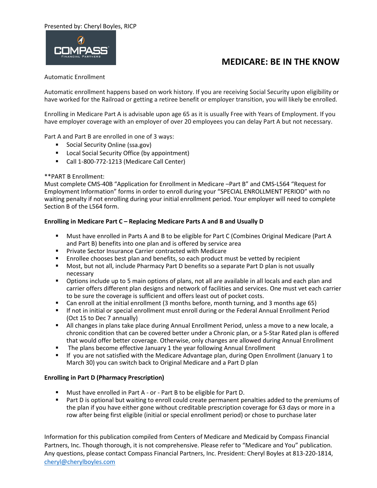#### Presented by: Cheryl Boyles, RICP



### **MEDICARE: BE IN THE KNOW**

#### Automatic Enrollment

Automatic enrollment happens based on work history. If you are receiving Social Security upon eligibility or have worked for the Railroad or getting a retiree benefit or employer transition, you will likely be enrolled.

Enrolling in Medicare Part A is advisable upon age 65 as it is usually Free with Years of Employment. If you have employer coverage with an employer of over 20 employees you can delay Part A but not necessary.

Part A and Part B are enrolled in one of 3 ways:

- Social Security Online (ssa.gov)
- Local Social Security Office (by appointment)
- Call 1-800-772-1213 (Medicare Call Center)

#### \*\*PART B Enrollment:

Must complete CMS-40B "Application for Enrollment in Medicare –Part B" and CMS-L564 "Request for Employment Information" forms in order to enroll during your "SPECIAL ENROLLMENT PERIOD" with no waiting penalty if not enrolling during your initial enrollment period. Your employer will need to complete Section B of the L564 form.

#### **Enrolling in Medicare Part C – Replacing Medicare Parts A and B and Usually D**

- Must have enrolled in Parts A and B to be eligible for Part C (Combines Original Medicare (Part A and Part B) benefits into one plan and is offered by service area
- Private Sector Insurance Carrier contracted with Medicare
- Enrollee chooses best plan and benefits, so each product must be vetted by recipient
- Most, but not all, include Pharmacy Part D benefits so a separate Part D plan is not usually necessary
- **•** Options include up to 5 main options of plans, not all are available in all locals and each plan and carrier offers different plan designs and network of facilities and services. One must vet each carrier to be sure the coverage is sufficient and offers least out of pocket costs.
- Can enroll at the initial enrollment (3 months before, month turning, and 3 months age 65)
- **■** If not in initial or special enrollment must enroll during or the Federal Annual Enrollment Period (Oct 15 to Dec 7 annually)
- **EXECT All changes in plans take place during Annual Enrollment Period, unless a move to a new locale, a** chronic condition that can be covered better under a Chronic plan, or a 5-Star Rated plan is offered that would offer better coverage. Otherwise, only changes are allowed during Annual Enrollment
- The plans become effective January 1 the year following Annual Enrollment
- If you are not satisfied with the Medicare Advantage plan, during Open Enrollment (January 1 to March 30) you can switch back to Original Medicare and a Part D plan

#### **Enrolling in Part D (Pharmacy Prescription)**

- Must have enrolled in Part A or Part B to be eligible for Part D.
- Part D is optional but waiting to enroll could create permanent penalties added to the premiums of the plan if you have either gone without creditable prescription coverage for 63 days or more in a row after being first eligible (initial or special enrollment period) or chose to purchase later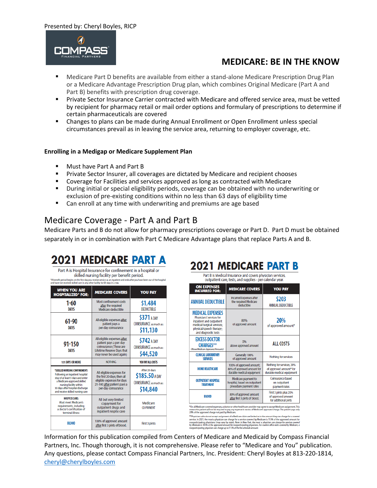

- Medicare Part D benefits are available from either a stand-alone Medicare Prescription Drug Plan or a Medicare Advantage Prescription Drug plan, which combines Original Medicare (Part A and Part B) benefits with prescription drug coverage.
- **Private Sector Insurance Carrier contracted with Medicare and offered service area, must be vetted** by recipient for pharmacy retail or mail order options and formulary of prescriptions to determine if certain pharmaceuticals are covered
- Changes to plans can be made during Annual Enrollment or Open Enrollment unless special circumstances prevail as in leaving the service area, returning to employer coverage, etc.

#### **Enrolling in a Medigap or Medicare Supplement Plan**

- Must have Part A and Part B
- **Private Sector Insurer, all coverages are dictated by Medicare and recipient chooses**
- Coverage for Facilities and services approved as long as contracted with Medicare
- **■** During initial or special eligibility periods, coverage can be obtained with no underwriting or exclusion of pre-existing conditions within no less than 63 days of eligibility time
- Can enroll at any time with underwriting and premiums are age based

#### Medicare Coverage - Part A and Part B

Medicare Parts and B do not allow for pharmacy prescriptions coverage or Part D. Part D must be obtained separately in or in combination with Part C Medicare Advantage plans that replace Parts A and B.

# 2021 MEDICARE PART A

Part A is Hospital Insurance for confinement in a hospital or skilled nursing facility per benefit period. efit period begins on the first day you receive service as an inpatient and ends after you have bee<br>ve not received skilled care in any other facility for 60 days in a row.

| <b>WHEN YOU ARE</b><br><b>HOSPITALIZED* FOR:</b>                                                                                                                                                                                        | <b>MEDICARE COVERS</b>                                                                                                                       | <b>YOU PAY</b>                                                                |  |  |
|-----------------------------------------------------------------------------------------------------------------------------------------------------------------------------------------------------------------------------------------|----------------------------------------------------------------------------------------------------------------------------------------------|-------------------------------------------------------------------------------|--|--|
| 1-60<br><b>DAYS</b>                                                                                                                                                                                                                     | Most confinement costs<br>after the required<br>Medicare deductible                                                                          | \$1,484<br><b>DEDUCTIBLE</b>                                                  |  |  |
| 61-90<br><b>DAYS</b>                                                                                                                                                                                                                    | All eligible expenses after<br>patient pays a<br>per-day coinsurance                                                                         | \$371 A DAY<br><b>COINSURANCE</b> as much as:<br>\$11,130                     |  |  |
| 91-150<br><b>DAYS</b>                                                                                                                                                                                                                   | All eligible expenses after<br>patient pays a per-day<br>coinsurance (These are<br>Lifetime Reserve Days that<br>may never be used again)    | \$742 A DAY<br><b>COINSURANCE</b> as much as:<br>\$44,520                     |  |  |
| <b>151 DAYS OR MORE</b>                                                                                                                                                                                                                 | NOTHING                                                                                                                                      | YOU PAY ALL COSTS                                                             |  |  |
| *SKILLED NURSING CONFINEMENT:<br>Following an inpatient hospital<br>stav of at least 3 days and enter<br>a Medicare-approved skilled<br>nursing facility within<br>30 days after hospital discharge<br>and receive skilled nursing care | All eligible expenses for<br>the first 20 days; then all<br>eligible expenses for days<br>21-100 after patient pays a<br>per-day coinsurance | After 20 days<br>\$185.50 A DAY<br><b>COINSURANCE</b> as much as:<br>\$14,840 |  |  |
| <b>HOSPICE CARE:</b><br>Must meet Medicare's<br>requirements, including<br>a doctor's certification of<br>terminal illness                                                                                                              | All but very limited<br>copayment for<br>outpatient drugs and<br>inpatient respite care                                                      | Medicare<br><b>CO-PAYMENT</b>                                                 |  |  |
| <b>BLOOD</b>                                                                                                                                                                                                                            | 100% of approved amount<br>after first 3 pints of blood.                                                                                     | First 3 pints                                                                 |  |  |

# 2021 MEDICARE PART B

| Part B is Medical Insurance and covers physician services,<br>outpatient care, tests, and supplies - per calendar year.                                           |                                                                                                                                                                                                                                                  |                                                                                               |  |  |  |  |  |
|-------------------------------------------------------------------------------------------------------------------------------------------------------------------|--------------------------------------------------------------------------------------------------------------------------------------------------------------------------------------------------------------------------------------------------|-----------------------------------------------------------------------------------------------|--|--|--|--|--|
| <b>ON EXPENSES</b><br><b>INCURRED FOR:</b>                                                                                                                        | <b>MEDICARE COVERS</b>                                                                                                                                                                                                                           | <b>YOU PAY</b>                                                                                |  |  |  |  |  |
| <b>ANNUAL DEDUCTIBLE</b>                                                                                                                                          | <b>Incurred Expenses after</b><br>the required Medicare<br>deductible                                                                                                                                                                            | \$203<br>ANNUAL DEDUCTIBLE                                                                    |  |  |  |  |  |
| <b>MEDICAL EXPENSES</b><br>Physicians' services for<br>inpatient and outpatient<br>medical/surgical services:<br>physical/speech therapy;<br>and diagnostic tests | 80%<br>of approved amount                                                                                                                                                                                                                        | <b>20%</b><br>of approved amount*                                                             |  |  |  |  |  |
| <b>EXCESS DOCTOR</b><br><b>CHARGES**</b><br>(Above Medicare Approved Amounts)                                                                                     | 0%<br>above approved amount                                                                                                                                                                                                                      | <b>ALL COSTS</b>                                                                              |  |  |  |  |  |
| <b>CLINICAL LABORATORY</b><br><b>SERVICES</b>                                                                                                                     | Generally 100%<br>of approved amount                                                                                                                                                                                                             | Nothing for services                                                                          |  |  |  |  |  |
| <b>HOME HEALTHCARE</b>                                                                                                                                            | 100% of approved amount:<br>80% of approved amount for<br>durable medical equipment                                                                                                                                                              | Nothing for services; 20%<br>of approved amount <sup>+</sup> for<br>durable medical equipment |  |  |  |  |  |
| <b>OUTPATIENT HOSPITAL</b><br><b>TREATMENT</b>                                                                                                                    | Medicare payment to<br>hospital, based on outpatient<br>procedure payment rates                                                                                                                                                                  | Coinsurance based<br>on outpatient<br>payment rates                                           |  |  |  |  |  |
| <b>BLOOD</b>                                                                                                                                                      | 80% of approved amount<br>after first 3 pints of blood.                                                                                                                                                                                          | First 3 pints plus 20%<br>of approved amount<br>for additional pints                          |  |  |  |  |  |
|                                                                                                                                                                   | *On all Medicare-covered expenses, a doctor or other healthcare provider may agree to accept Medicare assignment. Thi<br>means the patient will not be required to pay any expense in excess of Medicarés approved charge. The patient pays only |                                                                                               |  |  |  |  |  |

means the patient will not be required to pay any expe<br>20% of the approved charge not paid by Medicare. is appro harge. The pa nt pays o

zowo wa wapen on the property and the Medicare claim are limited as to the amount they can charge for a cover<br>service. In 2021, the most a physician can charge for a service covered by Medicare is 115% of the approved amou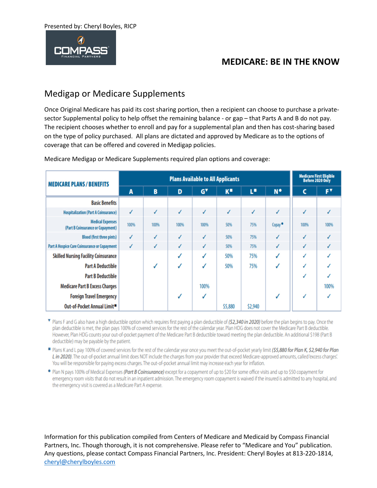

### Medigap or Medicare Supplements

Once Original Medicare has paid its cost sharing portion, then a recipient can choose to purchase a privatesector Supplemental policy to help offset the remaining balance - or gap – that Parts A and B do not pay. The recipient chooses whether to enroll and pay for a supplemental plan and then has cost-sharing based on the type of policy purchased. All plans are dictated and approved by Medicare as to the options of coverage that can be offered and covered in Medigap policies.

| <b>MEDICARE PLANS / BENEFITS</b>                             | <b>Plans Available to All Applicants</b> |      |      |                                   |               |         | <b>Medicare First Eligible</b><br>Before 2020 Only |              |      |
|--------------------------------------------------------------|------------------------------------------|------|------|-----------------------------------|---------------|---------|----------------------------------------------------|--------------|------|
|                                                              | A                                        | B    | D    | $\mathsf{G}^{\blacktriangledown}$ | $K^{\bullet}$ | r.      | $N^{\bullet}$                                      | c            | F۳   |
| <b>Basic Benefits</b>                                        |                                          |      |      |                                   |               |         |                                                    |              |      |
| <b>Hospitalization (Part A Coinsurance)</b>                  | √                                        | ✓    | ✓    | ✓                                 | ✓             | √       | √                                                  | ✓            | √    |
| <b>Medical Expenses</b><br>(Part B Coinsurance or Copayment) | 100%                                     | 100% | 100% | 100%                              | 50%           | 75%     | Copay <sup>®</sup>                                 | 100%         | 100% |
| <b>Blood (first three pints)</b>                             | √                                        |      |      | ✓                                 | 50%           | 75%     |                                                    | $\checkmark$ |      |
| Part A Hospice Care Coinsurance or Copayment                 | ✓                                        | J    | ✓    | ✓                                 | 50%           | 75%     | J                                                  | √            |      |
| <b>Skilled Nursing Facility Coinsurance</b>                  |                                          |      |      | ✓                                 | 50%           | 75%     |                                                    | ✓            |      |
| <b>Part A Deductible</b>                                     |                                          |      |      | J                                 | 50%           | 75%     | J                                                  | ✓            |      |
| <b>Part B Deductible</b>                                     |                                          |      |      |                                   |               |         |                                                    | ✓            |      |
| <b>Medicare Part B Excess Charges</b>                        |                                          |      |      | 100%                              |               |         |                                                    |              | 100% |
| <b>Foreign Travel Emergency</b>                              |                                          |      |      |                                   |               |         | J                                                  | J            |      |
| Out-of-Pocket Annual Limit■                                  |                                          |      |      |                                   | \$5,880       | \$2,940 |                                                    |              |      |

Medicare Medigap or Medicare Supplements required plan options and coverage:

Then F and G also have a high deductible option which requires first paying a plan deductible of (\$2,340 in 2020) before the plan begins to pay. Once the plan deductible is met, the plan pays 100% of covered services for the rest of the calendar year. Plan HDG does not cover the Medicare Part B deductible. However, Plan HDG counts your out-of-pocket payment of the Medicare Part B deductible toward meeting the plan deductible. An additional \$198 (Part B deductible) may be payable by the patient.

Plans K and L pay 100% of covered services for the rest of the calendar year once you meet the out-of-pocket yearly limit (\$5,880 for Plan K, \$2,940 for Plan L in 2020). The out-of-pocket annual limit does NOT include the charges from your provider that exceed Medicare-approved amounts, called 'excess charges'. You will be responsible for paying excess charges. The out-of-pocket annual limit may increase each year for inflation.

. Plan N pays 100% of Medical Expenses (Part B Coinsurance) except for a copayment of up to \$20 for some office visits and up to \$50 copayment for emergency room visits that do not result in an inpatient admission. The emergency room copayment is waived if the insured is admitted to any hospital, and the emergency visit is covered as a Medicare Part A expense.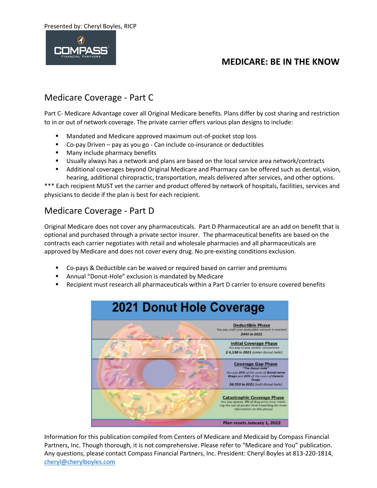Presented by: Cheryl Boyles, RICP



### **MEDICARE: BE IN THE KNOW**

### Medicare Coverage - Part C

Part C- Medicare Advantage cover all Original Medicare benefits. Plans differ by cost sharing and restriction to in or out of network coverage. The private carrier offers various plan designs to include:

- Mandated and Medicare approved maximum out-of-pocket stop loss
- Co-pay Driven pay as you go Can include co-insurance or deductibles
- Many include pharmacy benefits
- Usually always has a network and plans are based on the local service area network/contracts
- Additional coverages beyond Original Medicare and Pharmacy can be offered such as dental, vision, hearing, additional chiropractic, transportation, meals delivered after services, and other options.

\*\*\* Each recipient MUST vet the carrier and product offered by network of hospitals, facilities, services and physicians to decide if the plan is best for each recipient.

### Medicare Coverage - Part D

Original Medicare does not cover any pharmaceuticals. Part D Pharmaceutical are an add on benefit that is optional and purchased through a private sector insurer. The pharmaceutical benefits are based on the contracts each carrier negotiates with retail and wholesale pharmacies and all pharmaceuticals are approved by Medicare and does not cover every drug. No pre-existing conditions exclusion.

- Co-pays & Deductible can be waived or required based on carrier and premiums
- Annual "Donut-Hole" exclusion is mandated by Medicare
- Recipient must research all pharmaceuticals within a Part D carrier to ensure covered benefits